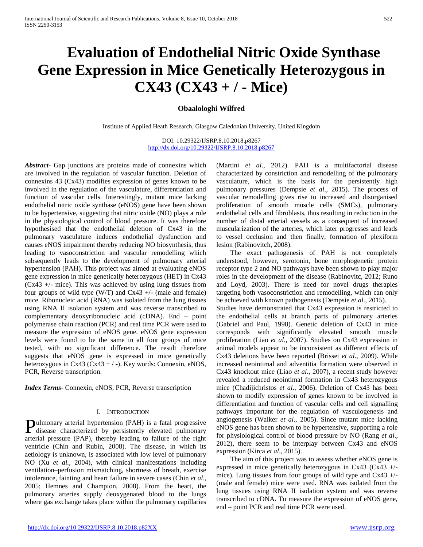# **Evaluation of Endothelial Nitric Oxide Synthase Gene Expression in Mice Genetically Heterozygous in CX43 (CX43 + / - Mice)**

# **Obaalologhi Wilfred**

Institute of Applied Heath Research, Glasgow Caledonian University, United Kingdom

DOI: 10.29322/IJSRP.8.10.2018.p8267 <http://dx.doi.org/10.29322/IJSRP.8.10.2018.p8267>

*Abstract***-** Gap junctions are proteins made of connexins which are involved in the regulation of vascular function. Deletion of connexins 43 (Cx43) modifies expression of genes known to be involved in the regulation of the vasculature, differentiation and function of vascular cells. Interestingly, mutant mice lacking endothelial nitric oxide synthase (eNOS) gene have been shown to be hypertensive, suggesting that nitric oxide (NO) plays a role in the physiological control of blood pressure. It was therefore hypothesised that the endothelial deletion of Cx43 in the pulmonary vasculature induces endothelial dysfunction and causes eNOS impairment thereby reducing NO biosynthesis, thus leading to vasoconstriction and vascular remodelling which subsequently leads to the development of pulmonary arterial hypertension (PAH). This project was aimed at evaluating eNOS gene expression in mice genetically heterozygous (HET) in Cx43  $(Cx43 +/-$  mice). This was achieved by using lung tissues from four groups of wild type (W/T) and Cx43  $+/-$  (male and female) mice. Ribonucleic acid (RNA) was isolated from the lung tissues using RNA II isolation system and was reverse transcribed to complementary deoxyribonucleic acid (cDNA). End – point polymerase chain reaction (PCR) and real time PCR were used to measure the expression of eNOS gene. eNOS gene expression levels were found to be the same in all four groups of mice tested, with no significant difference. The result therefore suggests that eNOS gene is expressed in mice genetically heterozygous in Cx43 (Cx43 + / -). Key words: Connexin, eNOS, PCR, Reverse transcription.

*Index Terms*- Connexin, eNOS, PCR, Reverse transcription

#### I. INTRODUCTION

ulmonary arterial hypertension (PAH) is a fatal progressive **Pulmonary arterial hypertension (PAH) is a fatal progressive disease characterized by persistently elevated pulmonary** arterial pressure (PAP), thereby leading to failure of the right ventricle (Chin and Rubin, 2008). The disease, in which its aetiology is unknown, is associated with low level of pulmonary NO (Xu *et al.*, 2004), with clinical manifestations including ventilation–perfusion mismatching, shortness of breath, exercise intolerance, fainting and heart failure in severe cases (Chin *et al*., 2005; Hemnes and Champion, 2008). From the heart, the pulmonary arteries supply deoxygenated blood to the lungs where gas exchange takes place within the pulmonary capillaries

(Martini *et al*., 2012). PAH is a multifactorial disease characterized by constriction and remodelling of the pulmonary vasculature, which is the basis for the persistently high pulmonary pressures (Dempsie *et al*., 2015). The process of vascular remodelling gives rise to increased and disorganised proliferation of smooth muscle cells (SMCs), pulmonary endothelial cells and fibroblasts, thus resulting in reduction in the number of distal arterial vessels as a consequent of increased muscularization of the arteries, which later progresses and leads to vessel occlusion and then finally, formation of plexiform lesion (Rabinovitch, 2008).

 The exact pathogenesis of PAH is not completely understood, however, serotonin, bone morphogenetic protein receptor type 2 and NO pathways have been shown to play major roles in the development of the disease (Rabinovitc, 2012; Runo and Loyd, 2003). There is need for novel drugs therapies targeting both vasoconstriction and remodelling, which can only be achieved with known pathogenesis (Dempsie *et al*., 2015).

Studies have demonstrated that Cx43 expression is restricted to the endothelial cells at branch parts of pulmonary arteries (Gabriel and Paul, 1998). Genetic deletion of Cx43 in mice corresponds with significantly elevated smooth muscle proliferation (Liao *et al*., 2007). Studies on Cx43 expression in animal models appear to be inconsistent as different effects of Cx43 deletions have been reported (Brisset *et al*., 2009). While increased neointimal and adventitia formation were observed in Cx43 knockout mice (Liao *et al*., 2007), a recent study however revealed a reduced neointimal formation in Cx43 heterozygous mice (Chadijichristos *et al*., 2006). Deletion of Cx43 has been shown to modify expression of genes known to be involved in differentiation and function of vascular cells and cell signalling pathways important for the regulation of vasculogenesis and angiogenesis (Walker *et al*., 2005). Since mutant mice lacking eNOS gene has been shown to be hypertensive, supporting a role for physiological control of blood pressure by NO (Rang *et al*., 2012), there seem to be interplay between Cx43 and eNOS expression (Kirca *et al*., 2015).

 The aim of this project was to assess whether eNOS gene is expressed in mice genetically heterozygous in Cx43 (Cx43 +/ mice). Lung tissues from four groups of wild type and  $Cx43 +$ /-(male and female) mice were used. RNA was isolated from the lung tissues using RNA II isolation system and was reverse transcribed to cDNA. To measure the expression of eNOS gene, end – point PCR and real time PCR were used.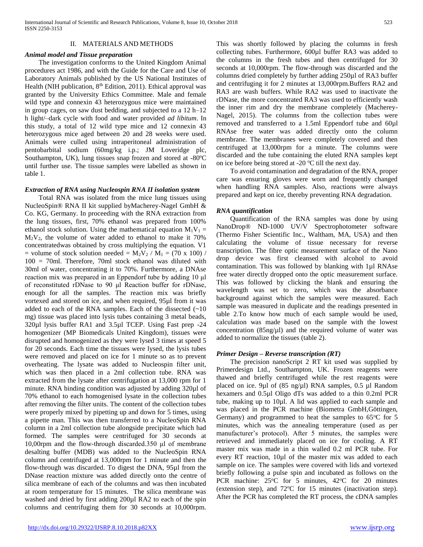## II. MATERIALS AND METHODS

## *Animal model and Tissue preparation*

 The investigation conforms to the United Kingdom Animal procedures act 1986, and with the Guide for the Care and Use of Laboratory Animals published by the US National Institutes of Health (NIH publication,  $8<sup>th</sup>$  Edition, 2011). Ethical approval was granted by the University Ethics Committee. Male and female wild type and connexin 43 heterozygous mice were maintained in group cages, on saw dust bedding, and subjected to a 12 h–12 h light/–dark cycle with food and water provided *ad libitum*. In this study, a total of 12 wild type mice and 12 connexin 43 heterozygous mice aged between 20 and 28 weeks were used. Animals were culled using intraperitoneal administration of pentobarbital sodium (60mg/kg i.p.; JM Loveridge plc, Southampton, UK), lung tissues snap frozen and stored at -80ºC until further use. The tissue samples were labelled as shown in table 1.

## *Extraction of RNA using Nucleospin RNA II isolation system*

 Total RNA was isolated from the mice lung tissues using NucleoSpin® RNA II kit supplied byMacherey-Nagel GmbH & Co. KG, Germany. In proceeding with the RNA extraction from the lung tissues, first, 70% ethanol was prepared from 100% ethanol stock solution. Using the mathematical equation  $M_1V_1 =$  $M_2V_2$ , the volume of water added to ethanol to make it 70% concentratedwas obtained by cross multiplying the equation. V1 = volume of stock solution needed =  $M_2V_2 / M_1$  = (70 x 100) / 100 = 70ml. Therefore, 70ml stock ethanol was diluted with 30ml of water, concentrating it to 70%. Furthermore, a DNAse reaction mix was prepared in an Eppendorf tube by adding 10 μl of reconstituted rDNase to 90 μl Reaction buffer for rDNase, enough for all the samples. The reaction mix was briefly vortexed and stored on ice, and when required, 95µl from it was added to each of the RNA samples. Each of the dissected  $(-10)$ mg) tissue was placed into lysis tubes containing 3 metal beads, 320µl lysis buffer RA1 and 3.5µl TCEP. Using Fast prep -24 homogenizer (MP Biomedicals United Kingdom), tissues were disrupted and homogenized as they were lysed 3 times at speed 5 for 20 seconds. Each time the tissues were lysed, the lysis tubes were removed and placed on ice for 1 minute so as to prevent overheating. The lysate was added to Nucleospin filter unit, which was then placed in a 2ml collection tube. RNA was extracted from the lysate after centrifugation at 13,000 rpm for 1 minute. RNA binding condition was adjusted by adding 320µl of 70% ethanol to each homogenised lysate in the collection tubes after removing the filter units. The content of the collection tubes were properly mixed by pipetting up and down for 5 times, using a pipette man. This was then transferred to a NucleoSpin RNA column in a 2ml collection tube alongside precipitate which had formed. The samples were centrifuged for 30 seconds at 10,00rpm and the flow-through discarded.350 μl of membrane desalting buffer (MDB) was added to the NucleoSpin RNA column and centrifuged at 13,000rpm for 1 minute and then the flow-through was discarded. To digest the DNA, 95µl from the DNase reaction mixture was added directly onto the centre of silica membrane of each of the columns and was then incubated at room temperature for 15 minutes. The silica membrane was washed and dried by first adding 200 $\mu$ l RA2 to each of the spin columns and centrifuging them for 30 seconds at 10,000rpm.

This was shortly followed by placing the columns in fresh collecting tubes. Furthermore, 600µl buffer RA3 was added to the columns in the fresh tubes and then centrifuged for 30 seconds at 10,000rpm. The flow-through was discarded and the columns dried completely by further adding 250µl of RA3 buffer and centrifuging it for 2 minutes at 13,000rpm.Buffers RA2 and RA3 are wash buffers. While RA2 was used to inactivate the rDNase, the more concentrated RA3 was used to efficiently wash the inner rim and dry the membrane completely (Macherey-Nagel, 2015). The columns from the collection tubes were removed and transferred to a 1.5ml Eppendorf tube and 60µl RNAse free water was added directly onto the column membrane. The membranes were completely covered and then centrifuged at 13,000rpm for a minute. The columns were discarded and the tube containing the eluted RNA samples kept on ice before being stored at -20  $\rm{^oC}$  till the next day.

 To avoid contamination and degradation of the RNA, proper care was ensuring gloves were worn and frequently changed when handling RNA samples. Also, reactions were always prepared and kept on ice, thereby preventing RNA degradation.

# *RNA quantification*

 Quantification of the RNA samples was done by using NanoDrop® ND-1000 UV/V Spectrophotometer software (Thermo Fisher Scientific Inc., Waltham, MA, USA) and then calculating the volume of tissue necessary for reverse transcription. The fibre optic measurement surface of the Nano drop device was first cleansed with alcohol to avoid contamination. This was followed by blanking with 1µl RNAse free water directly dropped onto the optic measurement surface. This was followed by clicking the blank and ensuring the wavelength was set to zero, which was the absorbance background against which the samples were measured. Each sample was measured in duplicate and the readings presented in table 2.To know how much of each sample would be used, calculation was made based on the sample with the lowest concentration  $(85ng/\mu l)$  and the required volume of water was added to normalize the tissues (table 2).

# *Primer Design – Reverse transcription (RT)*

 The precision nanoScript 2 RT kit used was supplied by Primerdesign Ltd., Southampton, UK. Frozen reagents were thawed and briefly centrifuged while the rest reagents were placed on ice. 9µl of (85 ng/µl) RNA samples, 0.5 µl Random hexamers and 0.5µl Oligo dTs was added to a thin 0.2ml PCR tube, making up to 10µl. A lid was applied to each sample and was placed in the PCR machine (Biometra GmbH,Göttingen, Germany) and programmed to heat the samples to  $65^{\circ}$ C for 5 minutes, which was the annealing temperature (used as per manufacturer's protocol). After 5 minutes, the samples were retrieved and immediately placed on ice for cooling. A RT master mix was made in a thin walled 0.2 ml PCR tube. For every RT reaction, 10µl of the master mix was added to each sample on ice. The samples were covered with lids and vortexed briefly following a pulse spin and incubated as follows on the PCR machine:  $25^{\circ}$ C for 5 minutes,  $42^{\circ}$ C for 20 minutes (extension step), and  $72^{\circ}$ C for 15 minutes (inactivation step). After the PCR has completed the RT process, the cDNA samples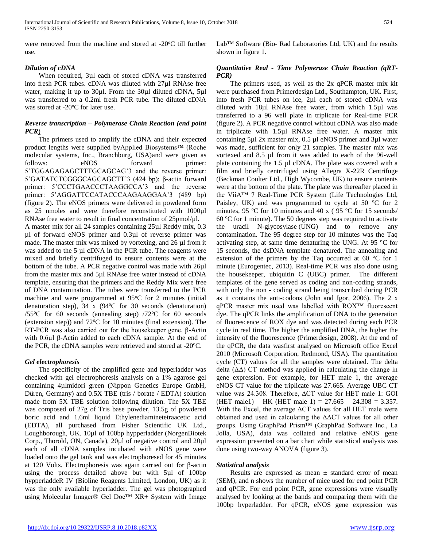were removed from the machine and stored at -20<sup>o</sup>C till further use.

# *Dilution of cDNA*

 When required, 3µl each of stored cDNA was transferred into fresh PCR tubes. cDNA was diluted with 27µl RNAse free water, making it up to 30µl. From the 30µl diluted cDNA, 5µl was transferred to a 0.2ml fresh PCR tube. The diluted cDNA was stored at  $-20^{\circ}$ C for later use.

# *Reverse transcription – Polymerase Chain Reaction (end point PCR*)

 The primers used to amplify the cDNA and their expected product lengths were supplied byApplied Biosystems™ (Roche molecular systems, Inc., Branchburg, USA)and were given as follows: eNOS forward primer: 5'TGGAGAGAGCTTTGCAGCAG'3 and the reverse primer: 5'GATATCTCGGGCAGCAGCTT'3 (424 bp); β-actin forward primer: 5'CCCTGAACCCTAAGGCCA'3 and the reverse primer: 5'AGGATTCCATACCCAAGAAGGAA'3 (489 bp) (figure 2). The eNOS primers were delivered in powdered form as 25 nmoles and were therefore reconstituted with 1000µl RNAse free water to result in final concentration of 25pmol/µl. A master mix for all 24 samples containing 25µl Reddy mix, 0.3 µl of forward eNOS primer and 0.3µl of reverse primer was made. The master mix was mixed by vortexing, and 26 µl from it was added to the 5 µl cDNA in the PCR tube. The reagents were mixed and briefly centrifuged to ensure contents were at the bottom of the tube. A PCR negative control was made with 26µl from the master mix and 5µl RNAse free water instead of cDNA template, ensuring that the primers and the Reddy Mix were free of DNA contamination. The tubes were transferred to the PCR machine and were programmed at  $95^{\circ}$ C for 2 minutes (initial denaturation step),  $34 \times (94^{\circ}C)$  for  $30$  seconds (denaturation) /55 $\degree$ C for 60 seconds (annealing step) /72 $\degree$ C for 60 seconds (extension step)) and  $72^{\circ}$ C for 10 minutes (final extension). The RT-PCR was also carried out for the housekeeper gene, β-Actin with 0.6µl β-Actin added to each cDNA sample. At the end of the PCR, the cDNA samples were retrieved and stored at  $-20^{\circ}$ C.

# *Gel electrophoresis*

 The specificity of the amplified gene and hyperladder was checked with gel electrophoresis analysis on a 1% agarose gel containing 4µlmidori green (Nippon Genetics Europe GmbH, Düren, Germany) and 0.5X TBE (tris / borate / EDTA) solution made from 5X TBE solution following dilution. The 5X TBE was composed of 27g of Tris base powder, 13.5g of powdered boric acid and 1.6ml liquid Ethylenediaminetetraacetic acid (EDTA), all purchased from Fisher Scientific UK Ltd., Loughborough, UK. 10µl of 100bp hypperladder (NorgenBiotek Corp., Thorold, ON, Canada), 20µl of negative control and 20µl each of all cDNA samples incubated with eNOS gene were loaded onto the gel tank and was electrophoresed for 45 minutes at 120 Volts. Electrophoresis was again carried out for β-actin using the process detailed above but with 5µl of 100bp hypperladdeR IV (Bioline Reagents Limited, London, UK) as it was the only available hyperladder. The gel was photographed using Molecular Imager® Gel Doc™ XR+ System with Image

Lab™ Software (Bio- Rad Laboratories Ltd, UK) and the results shown in figure 1.

# *Quantitative Real - Time Polymerase Chain Reaction (qRT-PCR)*

 The primers used, as well as the 2x qPCR master mix kit were purchased from Primerdesign Ltd., Southampton, UK. First, into fresh PCR tubes on ice, 2µl each of stored cDNA was diluted with 18µl RNAse free water, from which 1.5µl was transferred to a 96 well plate in triplicate for Real-time PCR (figure 2). A PCR negative control without cDNA was also made in triplicate with 1.5µl RNAse free water. A master mix containing 5µl 2x master mix, 0.5 µl eNOS primer and 3µl water was made, sufficient for only 21 samples. The master mix was vortexed and 8.5 µl from it was added to each of the 96-well plate containing the 1.5 µl cDNA. The plate was covered with a film and briefly centrifuged using Allegra X-22R Centrifuge (Beckman Coulter Ltd., High Wycombe, UK) to ensure contents were at the bottom of the plate. The plate was thereafter placed in the ViiA™ 7 Real-Time PCR System (Life Technologies Ltd, Paisley, UK) and was programmed to cycle at 50  $\degree$ C for 2 minutes, 95 °C for 10 minutes and 40 x (95 °C for 15 seconds/ 60  $\degree$ C for 1 minute). The 50 degrees step was required to activate the uracil N-glycosylase (UNG) and to remove any contamination. The 95 degree step for 10 minutes was the Taq activating step, at same time denaturing the UNG. At 95 °C for 15 seconds, the dsDNA template denatured. The annealing and extension of the primers by the Taq occurred at 60 °C for 1 minute (Eurogentec, 2013). Real-time PCR was also done using the housekeeper, ubiquitin C (UBC) primer. The different templates of the gene served as coding and non-coding strands, with only the non - coding strand being transcribed during PCR as it contains the anti-codons (John and Igor, 2006). The 2 x qPCR master mix used was labelled with ROX™ fluorescent dye. The qPCR links the amplification of DNA to the generation of fluorescence of ROX dye and was detected during each PCR cycle in real time. The higher the amplified DNA, the higher the intensity of the fluorescence (Primerdesign, 2008). At the end of the qPCR, the data wasfirst analysed on Microsoft office Excel 2010 (Microsoft Corporation, Redmond, USA). The quantitation cycle (CT) values for all the samples were obtained. The delta delta  $(\Delta \Delta)$  CT method was applied in calculating the change in gene expression. For example, for HET male 1, the average eNOS CT value for the triplicate was 27.665. Average UBC CT value was 24.308. Therefore, ΔCT value for HET male 1: GOI (HET male1) – HK (HET male 1) =  $27.665 - 24.308 = 3.357$ . With the Excel, the average ΔCT values for all HET male were obtained and used in calculating the ΔΔCT values for all other groups. Using GraphPad Prism™ (GraphPad Software Inc., La Jolla, USA), data was collated and relative eNOS gene expression presented on a bar chart while statistical analysis was done using two-way ANOVA (figure 3).

# *Statistical analysis*

 Results are expressed as mean ± standard error of mean (SEM), and n shows the number of mice used for end point PCR and qPCR. For end point PCR, gene expressions were visually analysed by looking at the bands and comparing them with the 100bp hyperladder. For qPCR, eNOS gene expression was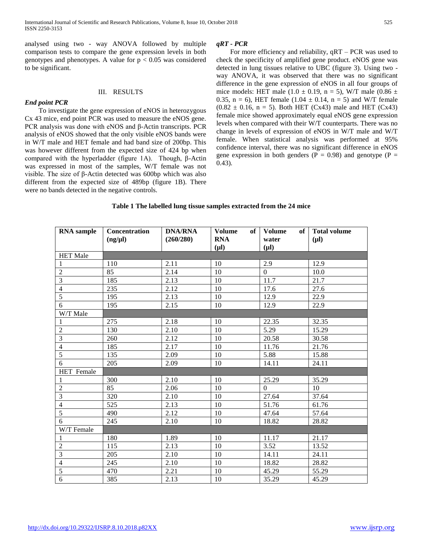analysed using two - way ANOVA followed by multiple comparison tests to compare the gene expression levels in both genotypes and phenotypes. A value for  $p < 0.05$  was considered to be significant.

#### III. RESULTS

*End point PCR* To investigate the gene expression of eNOS in heterozygous Cx 43 mice, end point PCR was used to measure the eNOS gene. PCR analysis was done with eNOS and β-Actin transcripts. PCR analysis of eNOS showed that the only visible eNOS bands were in W/T male and HET female and had band size of 200bp. This was however different from the expected size of 424 bp when compared with the hyperladder (figure 1A). Though, β-Actin was expressed in most of the samples, W/T female was not visible. The size of β-Actin detected was 600bp which was also different from the expected size of 489bp (figure 1B). There were no bands detected in the negative controls.

#### *qRT - PCR*

 For more efficiency and reliability, qRT – PCR was used to check the specificity of amplified gene product. eNOS gene was detected in lung tissues relative to UBC (figure 3). Using two way ANOVA, it was observed that there was no significant difference in the gene expression of eNOS in all four groups of mice models: HET male (1.0  $\pm$  0.19, n = 5), W/T male (0.86  $\pm$ 0.35, n = 6), HET female  $(1.04 \pm 0.14, n = 5)$  and W/T female  $(0.82 \pm 0.16, n = 5)$ . Both HET (Cx43) male and HET (Cx43) female mice showed approximately equal eNOS gene expression levels when compared with their W/T counterparts. There was no change in levels of expression of eNOS in W/T male and W/T female. When statistical analysis was performed at 95% confidence interval, there was no significant difference in eNOS gene expression in both genders ( $P = 0.98$ ) and genotype ( $P =$ 0.43).

#### **Table 1 The labelled lung tissue samples extracted from the 24 mice**

| <b>RNA</b> sample | Concentration<br>$(ng/\mu l)$ | <b>DNA/RNA</b><br>(260/280) | <b>Volume</b><br>of<br><b>RNA</b><br>$(\mu l)$ | <b>Volume</b><br>of<br>water<br>$(\mu l)$ | <b>Total volume</b><br>$(\mu l)$ |
|-------------------|-------------------------------|-----------------------------|------------------------------------------------|-------------------------------------------|----------------------------------|
| <b>HET Male</b>   |                               |                             |                                                |                                           |                                  |
| $\mathbf{1}$      | 110                           | 2.11                        | 10                                             | 2.9                                       | 12.9                             |
| $\overline{2}$    | 85                            | 2.14                        | 10                                             | $\boldsymbol{0}$                          | 10.0                             |
| $\overline{3}$    | 185                           | 2.13                        | 10                                             | 11.7                                      | 21.7                             |
| $\overline{4}$    | 235                           | 2.12                        | 10                                             | 17.6                                      | 27.6                             |
| $\overline{5}$    | 195                           | 2.13                        | 10                                             | 12.9                                      | 22.9                             |
| $\overline{6}$    | 195                           | 2.15                        | 10                                             | 12.9                                      | 22.9                             |
| W/T Male          |                               |                             |                                                |                                           |                                  |
| $\mathbf{1}$      | 275                           | 2.18                        | 10                                             | 22.35                                     | 32.35                            |
| $\sqrt{2}$        | 130                           | 2.10                        | 10                                             | 5.29                                      | 15.29                            |
| $\overline{3}$    | 260                           | 2.12                        | 10                                             | 20.58                                     | 30.58                            |
| $\overline{4}$    | 185                           | 2.17                        | 10                                             | 11.76                                     | 21.76                            |
| $\overline{5}$    | 135                           | 2.09                        | 10                                             | 5.88                                      | 15.88                            |
| $\overline{6}$    | 205                           | 2.09                        | 10                                             | 14.11                                     | 24.11                            |
| <b>HET</b> Female |                               |                             |                                                |                                           |                                  |
| $\mathbf{1}$      | 300                           | 2.10                        | 10                                             | 25.29                                     | 35.29                            |
| $\sqrt{2}$        | 85                            | 2.06                        | 10                                             | $\boldsymbol{0}$                          | 10                               |
| $\overline{3}$    | 320                           | 2.10                        | 10                                             | 27.64                                     | 37.64                            |
| $\overline{4}$    | 525                           | 2.13                        | 10                                             | 51.76                                     | 61.76                            |
| $\overline{5}$    | 490                           | 2.12                        | 10                                             | 47.64                                     | 57.64                            |
| $\overline{6}$    | 245                           | 2.10                        | 10                                             | 18.82                                     | 28.82                            |
| W/T Female        |                               |                             |                                                |                                           |                                  |
| $\mathbf{1}$      | 180                           | 1.89                        | 10                                             | 11.17                                     | 21.17                            |
| $\overline{2}$    | 115                           | 2.13                        | 10                                             | 3.52                                      | 13.52                            |
| $\overline{3}$    | 205                           | 2.10                        | 10                                             | 14.11                                     | 24.11                            |
| $\overline{4}$    | 245                           | 2.10                        | 10                                             | 18.82                                     | 28.82                            |
| 5                 | 470                           | 2.21                        | 10                                             | 45.29                                     | 55.29                            |
| $\overline{6}$    | 385                           | 2.13                        | 10                                             | 35.29                                     | 45.29                            |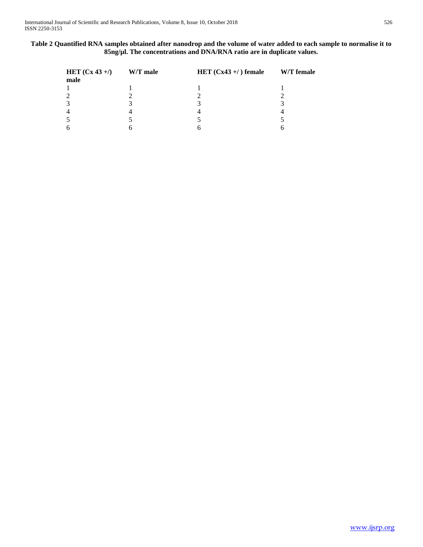# **Table 2 Quantified RNA samples obtained after nanodrop and the volume of water added to each sample to normalise it to 85ng/µl. The concentrations and DNA/RNA ratio are in duplicate values.**

| HET $(Cx 43 + 1)$ W/T male | HET $(Cx43 + 7)$ female | W/T female |
|----------------------------|-------------------------|------------|
| male                       |                         |            |
|                            |                         |            |
| 2                          |                         |            |
| 3                          |                         |            |
| $\overline{4}$             |                         |            |
| 5                          |                         |            |
| 6                          |                         |            |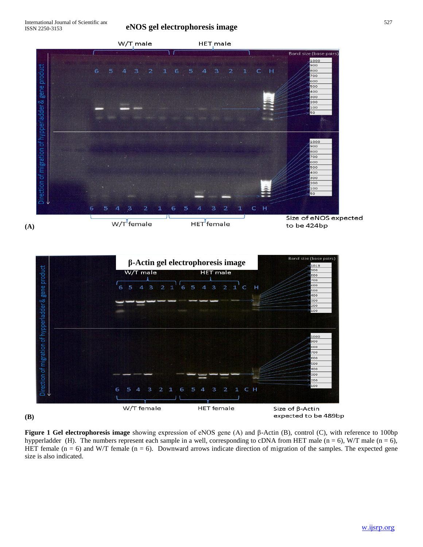# **eNOS gel electrophoresis image**





**(B)**

**Figure 1 Gel electrophoresis image** showing expression of eNOS gene (A) and β-Actin (B), control (C), with reference to 100bp hypperladder (H). The numbers represent each sample in a well, corresponding to cDNA from HET male (n = 6), W/T male (n = 6), HET female ( $n = 6$ ) and W/T female ( $n = 6$ ). Downward arrows indicate direction of migration of the samples. The expected gene size is also indicated.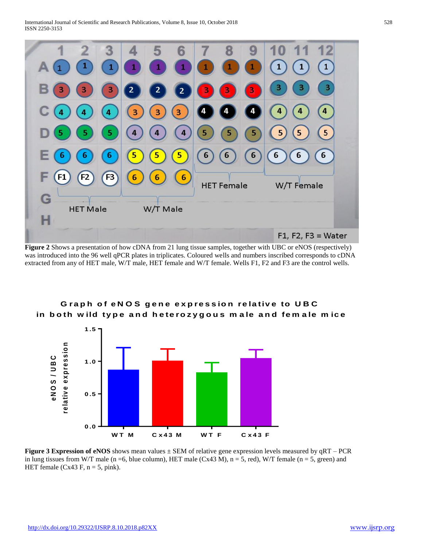

**Figure 2** Shows a presentation of how cDNA from 21 lung tissue samples, together with UBC or eNOS (respectively) was introduced into the 96 well qPCR plates in triplicates. Coloured wells and numbers inscribed corresponds to cDNA extracted from any of HET male, W/T male, HET female and W/T female. Wells F1, F2 and F3 are the control wells.



# Graph of eNOS gene expression relative to UBC in both wild type and heterozygous male and female mice

**Figure 3 Expression of eNOS** shows mean values  $\pm$  SEM of relative gene expression levels measured by  $qRT - PCR$ in lung tissues from W/T male (n = 6, blue column), HET male (Cx43 M),  $n = 5$ , red), W/T female (n = 5, green) and HET female (Cx43 F,  $n = 5$ , pink).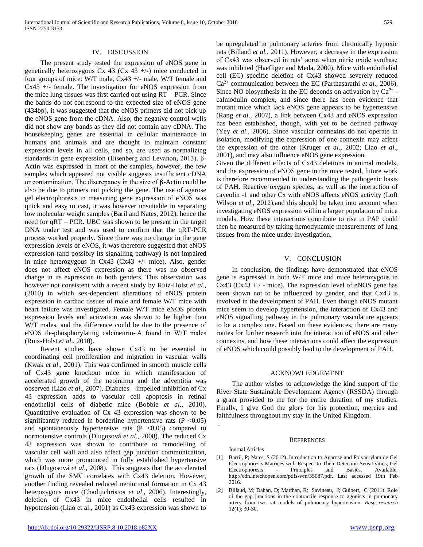#### IV. DISCUSSION

 The present study tested the expression of eNOS gene in genetically heterozygous Cx 43 (Cx 43  $+/-$ ) mice conducted in four groups of mice: W/T male, Cx43 +/- male, W/T female and Cx43 +/- female. The investigation for eNOS expression from the mice lung tissues was first carried out using RT – PCR. Since the bands do not correspond to the expected size of eNOS gene (434bp), it was suggested that the eNOS primers did not pick up the eNOS gene from the cDNA. Also, the negative control wells did not show any bands as they did not contain any cDNA. The housekeeping genes are essential in cellular maintenance in humans and animals and are thought to maintain constant expression levels in all cells, and so, are used as normalizing standards in gene expression (Eisenberg and Levanon, 2013). β-Actin was expressed in most of the samples, however, the few samples which appeared not visible suggests insufficient cDNA or contamination. The discrepancy in the size of β-Actin could be also be due to primers not picking the gene. The use of agarose gel electrophoresis in measuring gene expression of eNOS was quick and easy to cast, it was however unsuitable in separating low molecular weight samples (Baril and Nates, 2012), hence the need for qRT – PCR. UBC was shown to be present in the target DNA under test and was used to confirm that the qRT-PCR process worked properly. Since there was no change in the gene expression levels of eNOS, it was therefore suggested that eNOS expression (and possibly its signalling pathway) is not impaired in mice heterozygous in Cx43 (Cx43 +/- mice). Also, gender does not affect eNOS expression as there was no observed change in its expression in both genders. This observation was however not consistent with a recent study by Ruiz-Holst *et al*., (2010) in which sex-dependent alterations of eNOS protein expression in cardiac tissues of male and female W/T mice with heart failure was investigated. Female W/T mice eNOS protein expression levels and activation was shown to be higher than W/T males, and the difference could be due to the presence of eNOS de-phosphorylating calcineurin- A found in W/T males (Ruiz-Holst *et al*., 2010).

 Recent studies have shown Cx43 to be essential in coordinating cell proliferation and migration in vascular walls (Kwak *et al*., 2001). This was confirmed in smooth muscle cells of Cx43 gene knockout mice in which manifestation of accelerated growth of the neointima and the adventitia was observed (Liao *et al*., 2007). Diabetes – impelled inhibition of Cx 43 expression adds to vascular cell apoptosis in retinal endothelial cells of diabetic mice (Bobbie *et al*., 2010). Quantitative evaluation of Cx 43 expression was shown to be significantly reduced in borderline hypertensive rats  $(P \le 0.05)$ and spontaneously hypertensive rats  $(P \le 0.05)$  compared to normotensive controls (Dlugosová *et al*., 2008). The reduced Cx 43 expression was shown to contribute to remodelling of vascular cell wall and also affect gap junction communication, which was more pronounced in fully established hypertensive rats (Dlugosová *et al*., 2008). This suggests that the accelerated growth of the SMC correlates with Cx43 deletion. However, another finding revealed reduced neointimal formation in Cx 43 heterozygous mice (Chadijichristos *et al*., 2006). Interestingly, deletion of Cx43 in mice endothelial cells resulted in hypotension (Liao et al., 2001) as Cx43 expression was shown to

be upregulated in pulmonary arteries from chronically hypoxic rats (Billaud *et al.*, 2011). However, a decrease in the expression of Cx43 was observed in rats' aorta when nitric oxide synthase was inhibited (Haefliger and Meda, 2000). Mice with endothelial cell (EC) specific deletion of Cx43 showed severely reduced Ca2+ communication between the EC (Parthasarathi *et al*., 2006). Since NO biosynthesis in the EC depends on activation by  $Ca^{2+}$  calmodulin complex, and since there has been evidence that mutant mice which lack eNOS gene appears to be hypertensive (Rang *et al*., 2007), a link between Cx43 and eNOS expression has been established, though, with yet to be defined pathway (Yey *et al*., 2006). Since vascular connexins do not operate in isolation, modifying the expression of one connexin may affect the expression of the other (Kruger *et al*., 2002; Liao *et al*., 2001), and may also influence eNOS gene expression.

Given the different effects of Cx43 deletions in animal models, and the expression of eNOS gene in the mice tested, future work is therefore recommended in understanding the pathogenic basis of PAH. Reactive oxygen species, as well as the interaction of caveolin -1 and other Cx with eNOS affects eNOS activity (Loft Wilson *et al*., 2012),and this should be taken into account when investigating eNOS expression within a larger population of mice models. How these interactions contribute to rise in PAP could then be measured by taking hemodynamic measurements of lung tissues from the mice under investigation.

#### V. CONCLUSION

 In conclusion, the findings have demonstrated that eNOS gene is expressed in both W/T mice and mice heterozygous in Cx43 (Cx43 + / - mice). The expression level of eNOS gene has been shown not to be influenced by gender, and that Cx43 is involved in the development of PAH. Even though eNOS mutant mice seem to develop hypertension, the interaction of Cx43 and eNOS signalling pathway in the pulmonary vasculature appears to be a complex one. Based on these evidences, there are many routes for further research into the interaction of eNOS and other connexins, and how these interactions could affect the expression of eNOS which could possibly lead to the development of PAH.

#### ACKNOWLEDGEMENT

 The author wishes to acknowledge the kind support of the River State Sustainable Development Agency (RSSDA) through a grant provided to me for the entire duration of my studies. Finally, I give God the glory for his protection, mercies and faithfulness throughout my stay in the United Kingdom.

#### **REFERENCES**

Journal Articles

.

- [1] Barril, P; Nates, S (2012). Introduction to Agarose and Polyacrylamide Gel Electrophoresis Matrices with Respect to Their Detection Sensitivities, Gel Electrophoresis - Principles and Basics*.* Available: http://cdn.intechopen.com/pdfs-wm/35087.pdf. Last accessed 19th Feb 2016.
- [2] Billaud, M; Dahan, D; Marthan, R; Savineau, J; Guibert, C (2011). Role of the gap junctions in the contractile response to agonists in pulmonary artery from two rat models of pulmonary hypertension. *Resp research* 12(1): 30-30.